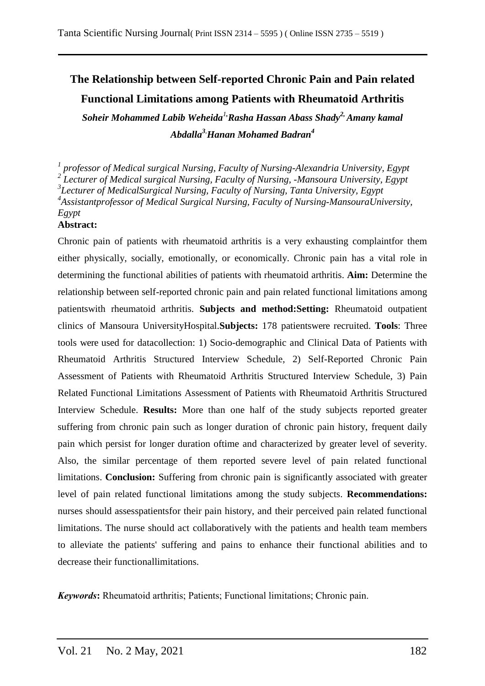# **The Relationship between Self-reported Chronic Pain and Pain related Functional Limitations among Patients with Rheumatoid Arthritis**

*Soheir Mohammed Labib Weheida<sup>1</sup>,Rasha Hassan Abass Shady2, Amany kamal Abdalla<sup>3</sup>,Hanan Mohamed Badran<sup>4</sup>*

*1 professor of Medical surgical Nursing, Faculty of Nursing-Alexandria University, Egypt 2 Lecturer of Medical surgical Nursing, Faculty of Nursing, -Mansoura University, Egypt 3 Lecturer of MedicalSurgical Nursing, Faculty of Nursing, Tanta University, Egypt 4 Assistantprofessor of Medical Surgical Nursing, Faculty of Nursing-MansouraUniversity, Egypt* **Abstract:**

Chronic pain of patients with rheumatoid arthritis is a very exhausting complaintfor them either physically, socially, emotionally, or economically. Chronic pain has a vital role in determining the functional abilities of patients with rheumatoid arthritis. **Aim:** Determine the relationship between self-reported chronic pain and pain related functional limitations among patientswith rheumatoid arthritis. **Subjects and method:Setting:** Rheumatoid outpatient clinics of Mansoura UniversityHospital.**Subjects:** 178 patientswere recruited. **Tools**: Three tools were used for datacollection: 1) Socio-demographic and Clinical Data of Patients with Rheumatoid Arthritis Structured Interview Schedule, 2) Self-Reported Chronic Pain Assessment of Patients with Rheumatoid Arthritis Structured Interview Schedule, 3) Pain Related Functional Limitations Assessment of Patients with Rheumatoid Arthritis Structured Interview Schedule. **Results:** More than one half of the study subjects reported greater suffering from chronic pain such as longer duration of chronic pain history, frequent daily pain which persist for longer duration oftime and characterized by greater level of severity. Also, the similar percentage of them reported severe level of pain related functional limitations. **Conclusion:** Suffering from chronic pain is significantly associated with greater level of pain related functional limitations among the study subjects. **Recommendations:** nurses should assesspatientsfor their pain history, and their perceived pain related functional limitations. The nurse should act collaboratively with the patients and health team members to alleviate the patients' suffering and pains to enhance their functional abilities and to decrease their functionallimitations.

*Keywords***:** Rheumatoid arthritis; Patients; Functional limitations; Chronic pain.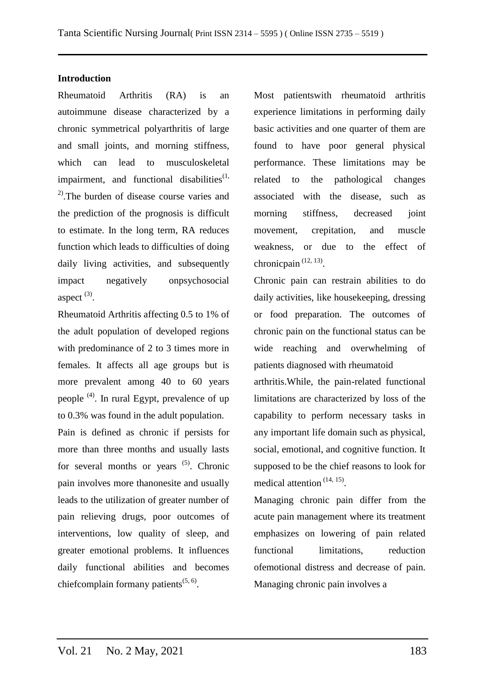## **Introduction**

Rheumatoid Arthritis (RA) is an autoimmune disease characterized by a chronic symmetrical polyarthritis of large and small joints, and morning stiffness, which can lead to musculoskeletal impairment, and functional disabilities $<sup>(1)</sup>$ </sup> 2).The burden of disease course varies and the prediction of the prognosis is difficult to estimate. In the long term, RA reduces function which leads to difficulties of doing daily living activities, and subsequently impact negatively onpsychosocial aspect  $^{(3)}$ .

Rheumatoid Arthritis affecting 0.5 to 1% of the adult population of developed regions with predominance of 2 to 3 times more in females. It affects all age groups but is more prevalent among 40 to 60 years people (4). In rural Egypt, prevalence of up to 0.3% was found in the adult population.

Pain is defined as chronic if persists for more than three months and usually lasts for several months or years  $(5)$ . Chronic pain involves more thanonesite and usually leads to the utilization of greater number of pain relieving drugs, poor outcomes of interventions, low quality of sleep, and greater emotional problems. It influences daily functional abilities and becomes chiefcomplain formany patients $(5, 6)$ .

Most patientswith rheumatoid arthritis experience limitations in performing daily basic activities and one quarter of them are found to have poor general physical performance. These limitations may be related to the pathological changes associated with the disease, such as morning stiffness, decreased joint movement, crepitation, and muscle weakness, or due to the effect of chronicpain<sup>(12, 13)</sup>.

Chronic pain can restrain abilities to do daily activities, like housekeeping, dressing or food preparation. The outcomes of chronic pain on the functional status can be wide reaching and overwhelming of patients diagnosed with rheumatoid

arthritis.While, the pain-related functional limitations are characterized by loss of the capability to perform necessary tasks in any important life domain such as physical, social, emotional, and cognitive function. It supposed to be the chief reasons to look for medical attention<sup>(14, 15)</sup>.

Managing chronic pain differ from the acute pain management where its treatment emphasizes on lowering of pain related functional limitations, reduction ofemotional distress and decrease of pain. Managing chronic pain involves a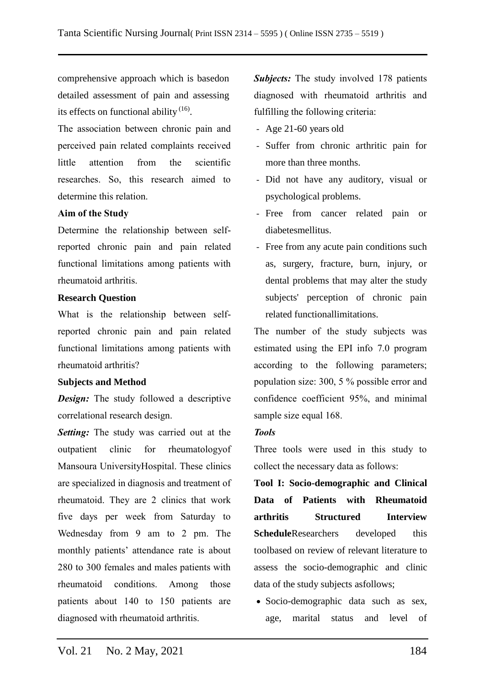comprehensive approach which is basedon detailed assessment of pain and assessing its effects on functional ability <sup>(16)</sup>.

The association between chronic pain and perceived pain related complaints received little attention from the scientific researches. So, this research aimed to determine this relation.

## **Aim of the Study**

Determine the relationship between selfreported chronic pain and pain related functional limitations among patients with rheumatoid arthritis.

### **Research Question**

What is the relationship between selfreported chronic pain and pain related functional limitations among patients with rheumatoid arthritis?

#### **Subjects and Method**

*Design:* The study followed a descriptive correlational research design.

*Setting:* The study was carried out at the outpatient clinic for rheumatologyof Mansoura UniversityHospital. These clinics are specialized in diagnosis and treatment of rheumatoid. They are 2 clinics that work five days per week from Saturday to Wednesday from 9 am to 2 pm. The monthly patients' attendance rate is about 280 to 300 females and males patients with rheumatoid conditions. Among those patients about 140 to 150 patients are diagnosed with rheumatoid arthritis.

**Subjects:** The study involved 178 patients diagnosed with rheumatoid arthritis and fulfilling the following criteria:

- Age 21-60 years old
- Suffer from chronic arthritic pain for more than three months.
- Did not have any auditory, visual or psychological problems.
- Free from cancer related pain or diabetesmellitus.
- Free from any acute pain conditions such as, surgery, fracture, burn, injury, or dental problems that may alter the study subjects' perception of chronic pain related functionallimitations.

The number of the study subjects was estimated using the EPI info 7.0 program according to the following parameters; population size: 300, 5 % possible error and confidence coefficient 95%, and minimal sample size equal 168.

## *Tools*

Three tools were used in this study to collect the necessary data as follows:

**Tool I: Socio-demographic and Clinical Data of Patients with Rheumatoid arthritis Structured Interview Schedule**Researchers developed this toolbased on review of relevant literature to assess the socio-demographic and clinic data of the study subjects asfollows;

 Socio-demographic data such as sex, age, marital status and level of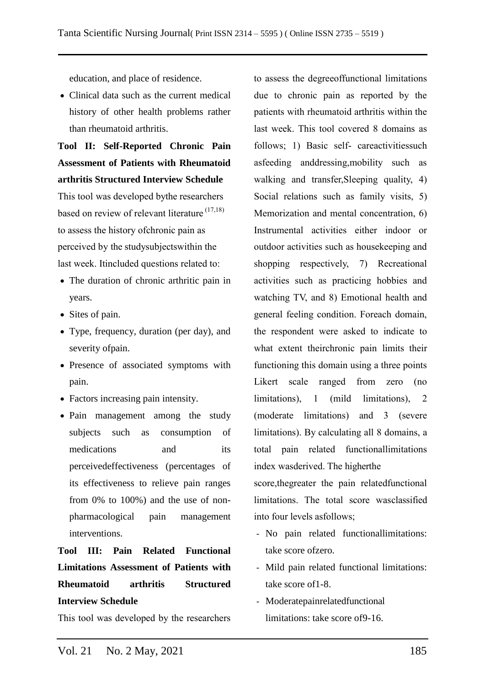education, and place of residence.

• Clinical data such as the current medical history of other health problems rather than rheumatoid arthritis.

**Tool II: Self-Reported Chronic Pain Assessment of Patients with Rheumatoid arthritis Structured Interview Schedule**

This tool was developed bythe researchers based on review of relevant literature (17,18) to assess the history ofchronic pain as perceived by the studysubjectswithin the last week. Itincluded questions related to:

- The duration of chronic arthritic pain in years.
- Sites of pain.
- Type, frequency, duration (per day), and severity ofpain.
- Presence of associated symptoms with pain.
- Factors increasing pain intensity.
- Pain management among the study subjects such as consumption of medications and its perceivedeffectiveness (percentages of its effectiveness to relieve pain ranges from 0% to 100%) and the use of nonpharmacological pain management interventions.

# **Tool III: Pain Related Functional Limitations Assessment of Patients with Rheumatoid arthritis Structured Interview Schedule**

This tool was developed by the researchers

to assess the degreeoffunctional limitations due to chronic pain as reported by the patients with rheumatoid arthritis within the last week. This tool covered 8 domains as follows; 1) Basic self- careactivitiessuch asfeeding anddressing,mobility such as walking and transfer, Sleeping quality, 4) Social relations such as family visits, 5) Memorization and mental concentration, 6) Instrumental activities either indoor or outdoor activities such as housekeeping and shopping respectively, 7) Recreational activities such as practicing hobbies and watching TV, and 8) Emotional health and general feeling condition. Foreach domain, the respondent were asked to indicate to what extent theirchronic pain limits their functioning this domain using a three points Likert scale ranged from zero (no limitations), 1 (mild limitations), 2 (moderate limitations) and 3 (severe limitations). By calculating all 8 domains, a total pain related functionallimitations index wasderived. The higherthe

score,thegreater the pain relatedfunctional limitations. The total score wasclassified into four levels asfollows;

- No pain related functionallimitations: take score ofzero.
- Mild pain related functional limitations: take score of1-8.
- Moderatepainrelatedfunctional limitations: take score of9-16.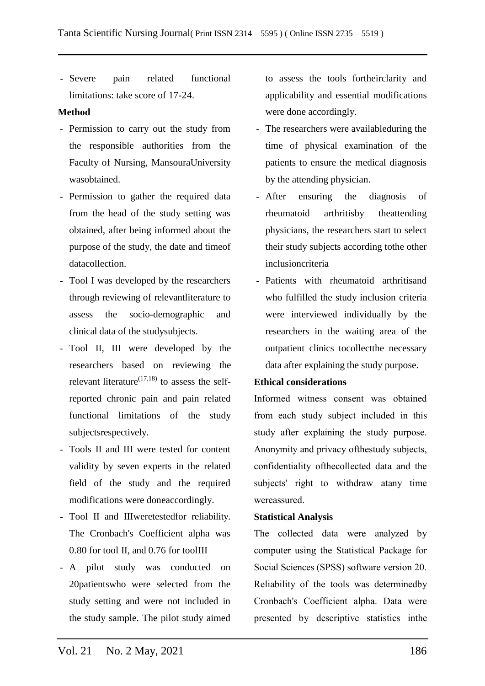- Severe pain related functional limitations: take score of 17-24.

### **Method**

- Permission to carry out the study from the responsible authorities from the Faculty of Nursing, MansouraUniversity wasobtained.
- Permission to gather the required data from the head of the study setting was obtained, after being informed about the purpose of the study, the date and timeof datacollection.
- Tool I was developed by the researchers through reviewing of relevantliterature to assess the socio-demographic and clinical data of the studysubjects.
- Tool II, III were developed by the researchers based on reviewing the relevant literature<sup> $(17,18)$ </sup> to assess the selfreported chronic pain and pain related functional limitations of the study subjectsrespectively.
- Tools II and III were tested for content validity by seven experts in the related field of the study and the required modifications were doneaccordingly.
- Tool II and IIIweretestedfor reliability. The Cronbach's Coefficient alpha was 0.80 for tool II, and 0.76 for toolIII
- A pilot study was conducted on 20patientswho were selected from the study setting and were not included in the study sample. The pilot study aimed

to assess the tools fortheirclarity and applicability and essential modifications were done accordingly.

- The researchers were availableduring the time of physical examination of the patients to ensure the medical diagnosis by the attending physician.
- After ensuring the diagnosis of rheumatoid arthritisby theattending physicians, the researchers start to select their study subjects according tothe other inclusioncriteria
- Patients with rheumatoid arthritisand who fulfilled the study inclusion criteria were interviewed individually by the researchers in the waiting area of the outpatient clinics tocollectthe necessary data after explaining the study purpose.

#### **Ethical considerations**

Informed witness consent was obtained from each study subject included in this study after explaining the study purpose. Anonymity and privacy ofthestudy subjects, confidentiality ofthecollected data and the subjects' right to withdraw atany time wereassured.

## **Statistical Analysis**

The collected data were analyzed by computer using the Statistical Package for Social Sciences (SPSS) software version 20. Reliability of the tools was determinedby Cronbach's Coefficient alpha. Data were presented by descriptive statistics inthe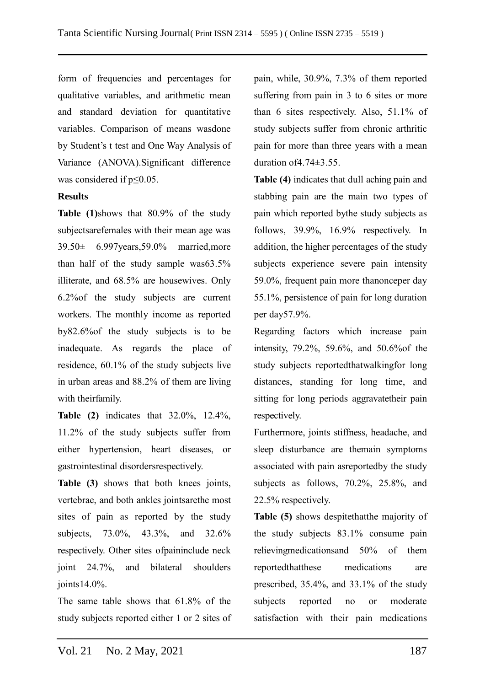form of frequencies and percentages for qualitative variables, and arithmetic mean and standard deviation for quantitative variables. Comparison of means wasdone by Student's t test and One Way Analysis of Variance (ANOVA).Significant difference was considered if  $p \leq 0.05$ .

## **Results**

**Table (1)**shows that 80.9% of the study subjectsarefemales with their mean age was 39.50± 6.997years,59.0% married,more than half of the study sample was63.5% illiterate, and 68.5% are housewives. Only 6.2%of the study subjects are current workers. The monthly income as reported by82.6%of the study subjects is to be inadequate. As regards the place of residence, 60.1% of the study subjects live in urban areas and 88.2% of them are living with theirfamily.

**Table (2)** indicates that 32.0%, 12.4%, 11.2% of the study subjects suffer from either hypertension, heart diseases, or gastrointestinal disordersrespectively.

**Table (3)** shows that both knees joints, vertebrae, and both ankles jointsarethe most sites of pain as reported by the study subjects, 73.0%, 43.3%, and 32.6% respectively. Other sites ofpaininclude neck joint 24.7%, and bilateral shoulders joints14.0%.

The same table shows that 61.8% of the study subjects reported either 1 or 2 sites of pain, while, 30.9%, 7.3% of them reported suffering from pain in 3 to 6 sites or more than 6 sites respectively. Also, 51.1% of study subjects suffer from chronic arthritic pain for more than three years with a mean duration of4.74±3.55.

**Table (4)** indicates that dull aching pain and stabbing pain are the main two types of pain which reported bythe study subjects as follows, 39.9%, 16.9% respectively. In addition, the higher percentages of the study subjects experience severe pain intensity 59.0%, frequent pain more thanonceper day 55.1%, persistence of pain for long duration per day57.9%.

Regarding factors which increase pain intensity, 79.2%, 59.6%, and 50.6%of the study subjects reportedthatwalkingfor long distances, standing for long time, and sitting for long periods aggravatetheir pain respectively.

Furthermore, joints stiffness, headache, and sleep disturbance are themain symptoms associated with pain asreportedby the study subjects as follows, 70.2%, 25.8%, and 22.5% respectively.

**Table (5)** shows despitethatthe majority of the study subjects 83.1% consume pain relievingmedicationsand 50% of them reportedthatthese medications are prescribed, 35.4%, and 33.1% of the study subjects reported no or moderate satisfaction with their pain medications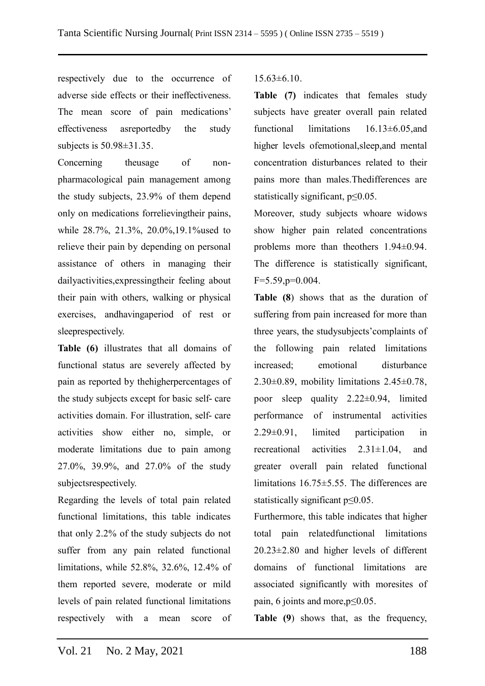respectively due to the occurrence of adverse side effects or their ineffectiveness. The mean score of pain medications' effectiveness asreportedby the study subjects is 50.98±31.35.

Concerning theusage of nonpharmacological pain management among the study subjects, 23.9% of them depend only on medications forrelievingtheir pains, while 28.7%, 21.3%, 20.0%,19.1%used to relieve their pain by depending on personal assistance of others in managing their dailyactivities,expressingtheir feeling about their pain with others, walking or physical exercises, andhavingaperiod of rest or sleeprespectively.

**Table (6)** illustrates that all domains of functional status are severely affected by pain as reported by thehigherpercentages of the study subjects except for basic self- care activities domain. For illustration, self- care activities show either no, simple, or moderate limitations due to pain among 27.0%, 39.9%, and 27.0% of the study subjectsrespectively.

Regarding the levels of total pain related functional limitations, this table indicates that only 2.2% of the study subjects do not suffer from any pain related functional limitations, while 52.8%, 32.6%, 12.4% of them reported severe, moderate or mild levels of pain related functional limitations respectively with a mean score of  $15.63\pm 6.10.$ 

**Table (7)** indicates that females study subjects have greater overall pain related functional limitations 16.13±6.05,and higher levels ofemotional,sleep,and mental concentration disturbances related to their pains more than males.Thedifferences are statistically significant,  $p \le 0.05$ .

Moreover, study subjects whoare widows show higher pain related concentrations problems more than theothers 1.94±0.94. The difference is statistically significant,  $F=5.59, p=0.004$ .

**Table (8**) shows that as the duration of suffering from pain increased for more than three years, the studysubjects'complaints of the following pain related limitations increased; emotional disturbance  $2.30\pm0.89$ , mobility limitations  $2.45\pm0.78$ , poor sleep quality 2.22±0.94, limited performance of instrumental activities 2.29±0.91, limited participation in recreational activities 2.31±1.04, and greater overall pain related functional limitations 16.75±5.55. The differences are statistically significant p≤0.05.

Furthermore, this table indicates that higher total pain relatedfunctional limitations 20.23±2.80 and higher levels of different domains of functional limitations are associated significantly with moresites of pain, 6 joints and more,p≤0.05.

**Table (9**) shows that, as the frequency,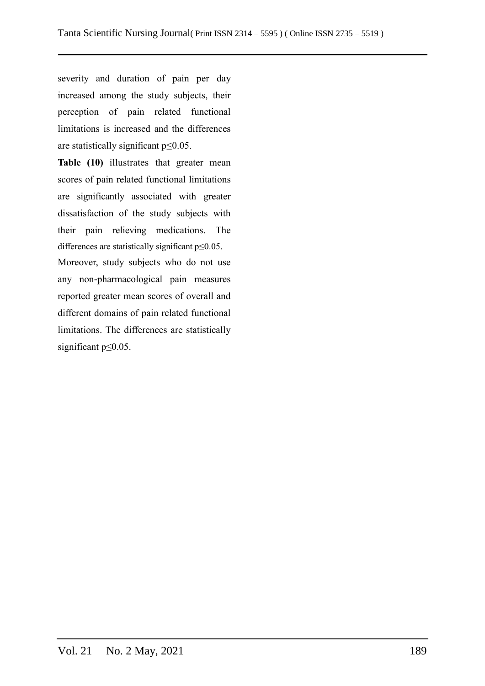severity and duration of pain per day increased among the study subjects, their perception of pain related functional limitations is increased and the differences are statistically significant  $p \leq 0.05$ .

**Table (10)** illustrates that greater mean scores of pain related functional limitations are significantly associated with greater dissatisfaction of the study subjects with their pain relieving medications. The differences are statistically significant p≤0.05.

Moreover, study subjects who do not use any non-pharmacological pain measures reported greater mean scores of overall and different domains of pain related functional limitations. The differences are statistically significant p≤0.05.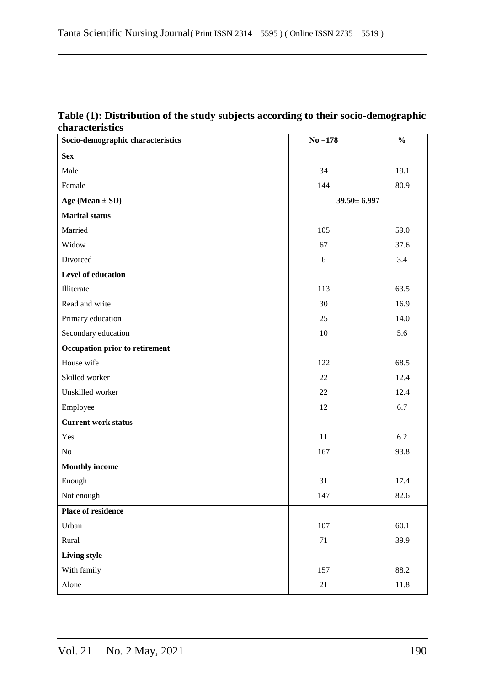| Table (1): Distribution of the study subjects according to their socio-demographic |
|------------------------------------------------------------------------------------|
| <b>characteristics</b>                                                             |

| Socio-demographic characteristics | $No = 178$ | $\frac{0}{0}$     |
|-----------------------------------|------------|-------------------|
| <b>Sex</b>                        |            |                   |
| Male                              | 34         | 19.1              |
| Female                            | 144        | 80.9              |
| Age (Mean $\pm$ SD)               |            | $39.50 \pm 6.997$ |
| <b>Marital status</b>             |            |                   |
| Married                           | 105        | 59.0              |
| Widow                             | 67         | 37.6              |
| Divorced                          | 6          | 3.4               |
| Level of education                |            |                   |
| Illiterate                        | 113        | 63.5              |
| Read and write                    | 30         | 16.9              |
| Primary education                 | 25         | 14.0              |
| Secondary education               | 10         | 5.6               |
| Occupation prior to retirement    |            |                   |
| House wife                        | 122        | 68.5              |
| Skilled worker                    | 22         | 12.4              |
| Unskilled worker                  | $22\,$     | 12.4              |
| Employee                          | 12         | 6.7               |
| <b>Current work status</b>        |            |                   |
| Yes                               | 11         | 6.2               |
| N <sub>o</sub>                    | 167        | 93.8              |
| <b>Monthly income</b>             |            |                   |
| Enough                            | 31         | 17.4              |
| Not enough                        | 147        | 82.6              |
| <b>Place of residence</b>         |            |                   |
| Urban                             | $107\,$    | 60.1              |
| Rural                             | $71\,$     | 39.9              |
| Living style                      |            |                   |
| With family                       | 157        | 88.2              |
| Alone                             | $21\,$     | 11.8              |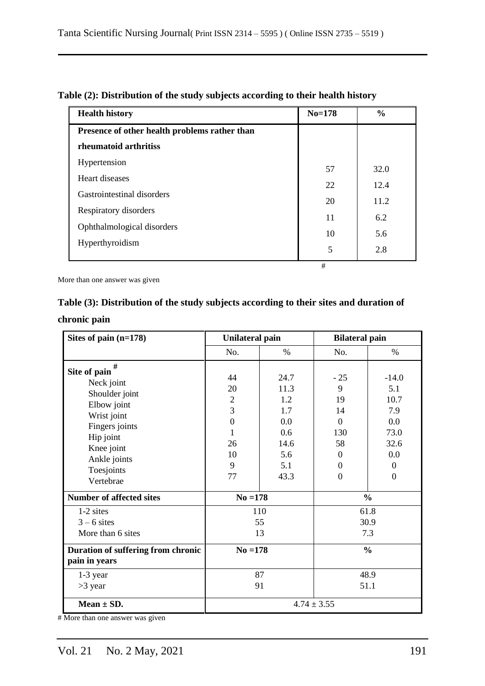| <b>Health history</b>                         | $No=178$ | $\frac{0}{0}$ |
|-----------------------------------------------|----------|---------------|
| Presence of other health problems rather than |          |               |
| rheumatoid arthritiss                         |          |               |
| Hypertension                                  | 57       | 32.0          |
| Heart diseases                                | 22       | 12.4          |
| Gastrointestinal disorders                    | 20       | 11.2          |
| Respiratory disorders                         | 11       | 6.2           |
| Ophthalmological disorders                    | 10       | 5.6           |
| Hyperthyroidism                               | 5        | 2.8           |
|                                               | #        |               |

## **Table (2): Distribution of the study subjects according to their health history**

More than one answer was given

## **Table (3): Distribution of the study subjects according to their sites and duration of**

|  | chronic pain |
|--|--------------|
|  |              |

| Sites of pain (n=178)                                                                                                                                                   | <b>Unilateral pain</b>                                                        |                                                                        | <b>Bilateral pain</b>                                                                           |                                                                                               |  |
|-------------------------------------------------------------------------------------------------------------------------------------------------------------------------|-------------------------------------------------------------------------------|------------------------------------------------------------------------|-------------------------------------------------------------------------------------------------|-----------------------------------------------------------------------------------------------|--|
|                                                                                                                                                                         | No.                                                                           | $\%$                                                                   | No.                                                                                             | $\%$                                                                                          |  |
| #<br>Site of pain<br>Neck joint<br>Shoulder joint<br>Elbow joint<br>Wrist joint<br>Fingers joints<br>Hip joint<br>Knee joint<br>Ankle joints<br>Toesjoints<br>Vertebrae | 44<br>20<br>$\overline{2}$<br>3<br>$\overline{0}$<br>1<br>26<br>10<br>9<br>77 | 24.7<br>11.3<br>1.2<br>1.7<br>0.0<br>0.6<br>14.6<br>5.6<br>5.1<br>43.3 | $-25$<br>9<br>19<br>14<br>$\Omega$<br>130<br>58<br>$\Omega$<br>$\overline{0}$<br>$\overline{0}$ | $-14.0$<br>5.1<br>10.7<br>7.9<br>0.0<br>73.0<br>32.6<br>0.0<br>$\overline{0}$<br>$\mathbf{0}$ |  |
| <b>Number of affected sites</b>                                                                                                                                         | $No = 178$                                                                    |                                                                        | $\frac{0}{0}$                                                                                   |                                                                                               |  |
| 1-2 sites<br>$3 - 6$ sites<br>More than 6 sites                                                                                                                         |                                                                               | 110<br>55<br>13                                                        | 61.8<br>30.9<br>7.3                                                                             |                                                                                               |  |
| Duration of suffering from chronic<br>pain in years                                                                                                                     | $No = 178$                                                                    |                                                                        | $\frac{0}{0}$                                                                                   |                                                                                               |  |
| $1-3$ year<br>$>3$ year                                                                                                                                                 |                                                                               | 87<br>91                                                               | 48.9<br>51.1                                                                                    |                                                                                               |  |
| Mean $\pm$ SD.                                                                                                                                                          | $4.74 \pm 3.55$                                                               |                                                                        |                                                                                                 |                                                                                               |  |

# More than one answer was given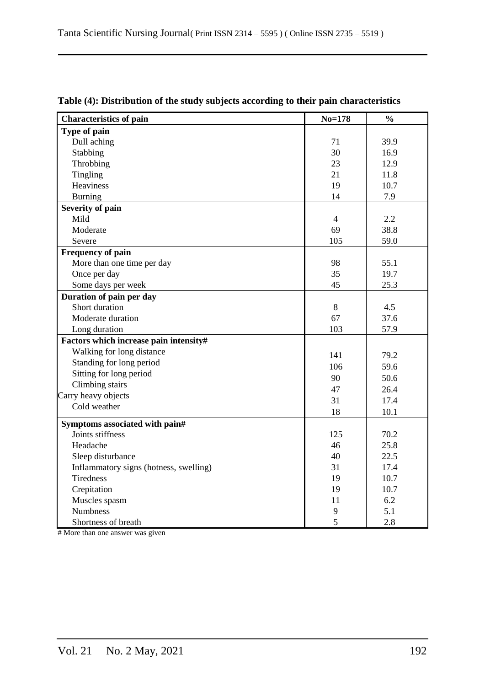| <b>Characteristics of pain</b>         | $No = 178$     | $\frac{0}{0}$ |
|----------------------------------------|----------------|---------------|
| Type of pain                           |                |               |
| Dull aching                            | 71             | 39.9          |
| Stabbing                               | 30             | 16.9          |
| Throbbing                              | 23             | 12.9          |
| Tingling                               | 21             | 11.8          |
| <b>Heaviness</b>                       | 19             | 10.7          |
| <b>Burning</b>                         | 14             | 7.9           |
| Severity of pain                       |                |               |
| Mild                                   | $\overline{4}$ | 2.2           |
| Moderate                               | 69             | 38.8          |
| Severe                                 | 105            | 59.0          |
| <b>Frequency of pain</b>               |                |               |
| More than one time per day             | 98             | 55.1          |
| Once per day                           | 35             | 19.7          |
| Some days per week                     | 45             | 25.3          |
| Duration of pain per day               |                |               |
| Short duration                         | $8\,$          | 4.5           |
| Moderate duration                      | 67             | 37.6          |
| Long duration                          | 103            | 57.9          |
| Factors which increase pain intensity# |                |               |
| Walking for long distance              | 141            | 79.2          |
| Standing for long period               | 106            | 59.6          |
| Sitting for long period                | 90             | 50.6          |
| Climbing stairs                        | 47             | 26.4          |
| Carry heavy objects                    | 31             | 17.4          |
| Cold weather                           | 18             | 10.1          |
| Symptoms associated with pain#         |                |               |
| Joints stiffness                       | 125            | 70.2          |
| Headache                               | 46             | 25.8          |
| Sleep disturbance                      | 40             | 22.5          |
| Inflammatory signs (hotness, swelling) | 31             | 17.4          |
| Tiredness                              | 19             | 10.7          |
| Crepitation                            | 19             | 10.7          |
| Muscles spasm                          | 11             | 6.2           |
| <b>Numbness</b>                        | 9              | 5.1           |
| Shortness of breath                    | 5              | 2.8           |

## **Table (4): Distribution of the study subjects according to their pain characteristics**

# More than one answer was given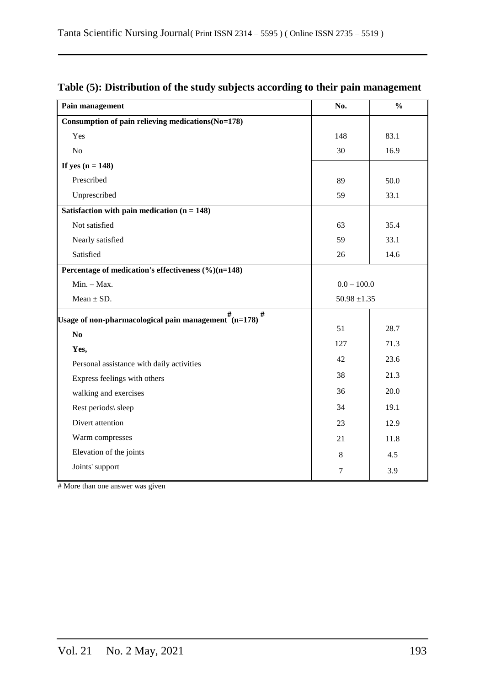| Pain management                                                                      | No.              | $\frac{0}{0}$ |  |
|--------------------------------------------------------------------------------------|------------------|---------------|--|
| Consumption of pain relieving medications (No=178)                                   |                  |               |  |
| Yes                                                                                  | 148              | 83.1          |  |
| No                                                                                   | 30               | 16.9          |  |
| If yes $(n = 148)$                                                                   |                  |               |  |
| Prescribed                                                                           | 89               | 50.0          |  |
| Unprescribed                                                                         | 59               | 33.1          |  |
| Satisfaction with pain medication $(n = 148)$                                        |                  |               |  |
| Not satisfied                                                                        | 63               | 35.4          |  |
| Nearly satisfied                                                                     | 59               | 33.1          |  |
| Satisfied                                                                            | 26               | 14.6          |  |
| Percentage of medication's effectiveness (%)(n=148)                                  |                  |               |  |
| $Min. - Max.$                                                                        | $0.0 - 100.0$    |               |  |
| Mean $\pm$ SD.                                                                       | $50.98 \pm 1.35$ |               |  |
| $\#$<br>Usage of non-pharmacological pain management $\stackrel{\#}{\text{(n=178)}}$ |                  |               |  |
| No                                                                                   | 51               | 28.7          |  |
| Yes,                                                                                 | 127              | 71.3          |  |
| Personal assistance with daily activities                                            | 42               | 23.6          |  |
| Express feelings with others                                                         | 38               | 21.3          |  |
| walking and exercises                                                                | 36               | 20.0          |  |
| Rest periods\ sleep                                                                  | 34               | 19.1          |  |
| Divert attention                                                                     | 23               | 12.9          |  |
| Warm compresses                                                                      | 21               | 11.8          |  |
| Elevation of the joints                                                              | $8\,$            | 4.5           |  |
| Joints' support                                                                      | $\tau$           | 3.9           |  |

## **Table (5): Distribution of the study subjects according to their pain management**

# More than one answer was given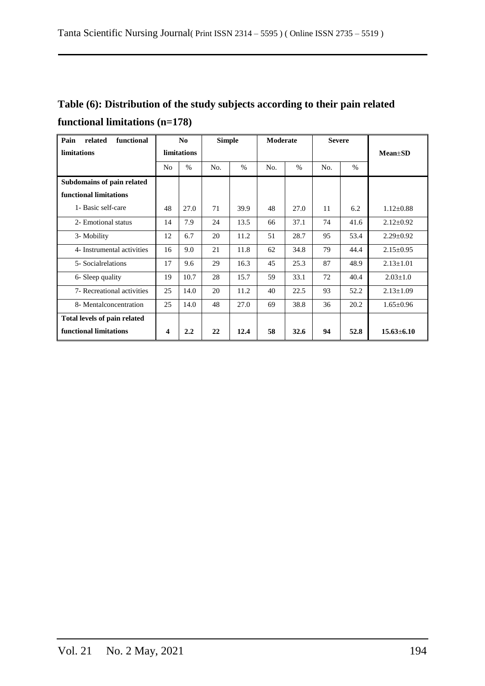# **Table (6): Distribution of the study subjects according to their pain related functional limitations (n=178)**

| related<br>functional<br>Pain |                         | N <sub>0</sub> | <b>Simple</b> |      | Moderate |      | <b>Severe</b> |      |                  |
|-------------------------------|-------------------------|----------------|---------------|------|----------|------|---------------|------|------------------|
| limitations                   |                         | limitations    |               |      |          |      |               |      | $Mean \pm SD$    |
|                               | N <sub>o</sub>          | $\%$           | No.           | $\%$ | No.      | $\%$ | No.           | $\%$ |                  |
| Subdomains of pain related    |                         |                |               |      |          |      |               |      |                  |
| functional limitations        |                         |                |               |      |          |      |               |      |                  |
| 1- Basic self-care            | 48                      | 27.0           | 71            | 39.9 | 48       | 27.0 | 11            | 6.2  | $1.12 \pm 0.88$  |
| 2- Emotional status           | 14                      | 7.9            | 24            | 13.5 | 66       | 37.1 | 74            | 41.6 | $2.12 \pm 0.92$  |
| 3- Mobility                   | 12                      | 6.7            | 20            | 11.2 | 51       | 28.7 | 95            | 53.4 | $2.29 \pm 0.92$  |
| 4- Instrumental activities    | 16                      | 9.0            | 21            | 11.8 | 62       | 34.8 | 79            | 44.4 | $2.15 \pm 0.95$  |
| 5- Social relations           | 17                      | 9.6            | 29            | 16.3 | 45       | 25.3 | 87            | 48.9 | $2.13 \pm 1.01$  |
| 6- Sleep quality              | 19                      | 10.7           | 28            | 15.7 | 59       | 33.1 | 72            | 40.4 | $2.03 \pm 1.0$   |
| 7- Recreational activities    | 25                      | 14.0           | 20            | 11.2 | 40       | 22.5 | 93            | 52.2 | $2.13 \pm 1.09$  |
| 8- Mentalconcentration        | 25                      | 14.0           | 48            | 27.0 | 69       | 38.8 | 36            | 20.2 | $1.65 \pm 0.96$  |
| Total levels of pain related  |                         |                |               |      |          |      |               |      |                  |
| functional limitations        | $\overline{\mathbf{4}}$ | 2.2            | 22            | 12.4 | 58       | 32.6 | 94            | 52.8 | $15.63 \pm 6.10$ |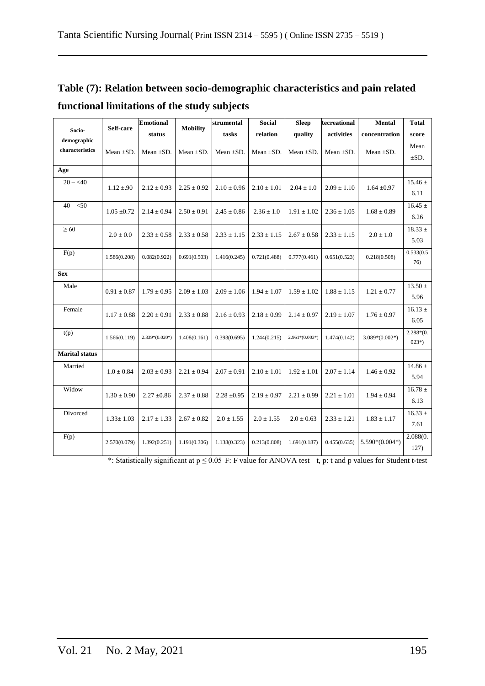|                                |                 | <b>Emotional</b> |                 | strumental      | Social          | <b>Sleep</b>     | <b>Recreational</b> | Mental           | Total                  |
|--------------------------------|-----------------|------------------|-----------------|-----------------|-----------------|------------------|---------------------|------------------|------------------------|
| Socio-                         | Self-care       | status           | <b>Mobility</b> | tasks           | relation        | quality          | activities          | concentration    | score                  |
| demographic<br>characteristics | Mean $\pm$ SD.  | Mean $\pm$ SD.   | Mean $\pm SD$ . | Mean $\pm SD$ . | Mean $\pm SD$ . | Mean $\pm SD$ .  | Mean $\pm SD$ .     | Mean $\pm SD$ .  | Mean<br>$\pm SD.$      |
| Age                            |                 |                  |                 |                 |                 |                  |                     |                  |                        |
| $20 - 40$                      | $1.12 \pm .90$  | $2.12 \pm 0.93$  | $2.25 \pm 0.92$ | $2.10 \pm 0.96$ | $2.10 \pm 1.01$ | $2.04 \pm 1.0$   | $2.09 \pm 1.10$     | $1.64 \pm 0.97$  | $15.46 \pm$<br>6.11    |
| $40 - 50$                      | $1.05 \pm 0.72$ | $2.14 \pm 0.94$  | $2.50 \pm 0.91$ | $2.45 \pm 0.86$ | $2.36 \pm 1.0$  | $1.91 \pm 1.02$  | $2.36 \pm 1.05$     | $1.68 \pm 0.89$  | $16.45 \pm$<br>6.26    |
| $\geq 60$                      | $2.0\pm0.0$     | $2.33 \pm 0.58$  | $2.33 \pm 0.58$ | $2.33 \pm 1.15$ | $2.33 \pm 1.15$ | $2.67 \pm 0.58$  | $2.33 \pm 1.15$     | $2.0 \pm 1.0$    | $18.33 \pm$<br>5.03    |
| F(p)                           | 1.586(0.208)    | 0.082(0.922)     | 0.691(0.503)    | 1.416(0.245)    | 0.721(0.488)    | 0.777(0.461)     | 0.651(0.523)        | 0.218(0.508)     | 0.533(0.5)<br>76)      |
| <b>Sex</b>                     |                 |                  |                 |                 |                 |                  |                     |                  |                        |
| Male                           | $0.91 \pm 0.87$ | $1.79 \pm 0.95$  | $2.09 \pm 1.03$ | $2.09 \pm 1.06$ | $1.94 \pm 1.07$ | $1.59 \pm 1.02$  | $1.88 \pm 1.15$     | $1.21\pm0.77$    | $13.50 \pm$<br>5.96    |
| Female                         | $1.17 \pm 0.88$ | $2.20 \pm 0.91$  | $2.33 \pm 0.88$ | $2.16 \pm 0.93$ | $2.18 \pm 0.99$ | $2.14 \pm 0.97$  | $2.19 \pm 1.07$     | $1.76 \pm 0.97$  | $16.13 \pm$<br>6.05    |
| t(p)                           | 1.566(0.119)    | $2.339*(0.020*)$ | 1.408(0.161)    | 0.393(0.695)    | 1.244(0.215)    | $2.961*(0.003*)$ | 1.474(0.142)        | $3.089*(0.002*)$ | $2.288*(0.$<br>$023*)$ |
| <b>Marital</b> status          |                 |                  |                 |                 |                 |                  |                     |                  |                        |
| Married                        | $1.0 \pm 0.84$  | $2.03 \pm 0.93$  | $2.21 \pm 0.94$ | $2.07 \pm 0.91$ | $2.10 \pm 1.01$ | $1.92 \pm 1.01$  | $2.07 \pm 1.14$     | $1.46 \pm 0.92$  | 14.86 $\pm$<br>5.94    |
| Widow                          | $1.30 \pm 0.90$ | $2.27 \pm 0.86$  | $2.37 \pm 0.88$ | $2.28 \pm 0.95$ | $2.19 \pm 0.97$ | $2.21 \pm 0.99$  | $2.21 \pm 1.01$     | $1.94 \pm 0.94$  | $16.78 \pm$<br>6.13    |
| Divorced                       | $1.33 \pm 1.03$ | $2.17 \pm 1.33$  | $2.67 \pm 0.82$ | $2.0 \pm 1.55$  | $2.0 \pm 1.55$  | $2.0 \pm 0.63$   | $2.33 \pm 1.21$     | $1.83 \pm 1.17$  | $16.33 \pm$<br>7.61    |
| F(p)                           | 2.570(0.079)    | 1.392(0.251)     | 1.191(0.306)    | 1.138(0.323)    | 0.213(0.808)    | 1.691(0.187)     | 0.455(0.635)        | $5.590*(0.004*)$ | 2.088(0.<br>127)       |

# **Table (7): Relation between socio-demographic characteristics and pain related functional limitations of the study subjects**

\*: Statistically significant at  $p \le 0.05$  F: F value for ANOVA test t, p: t and p values for Student t-test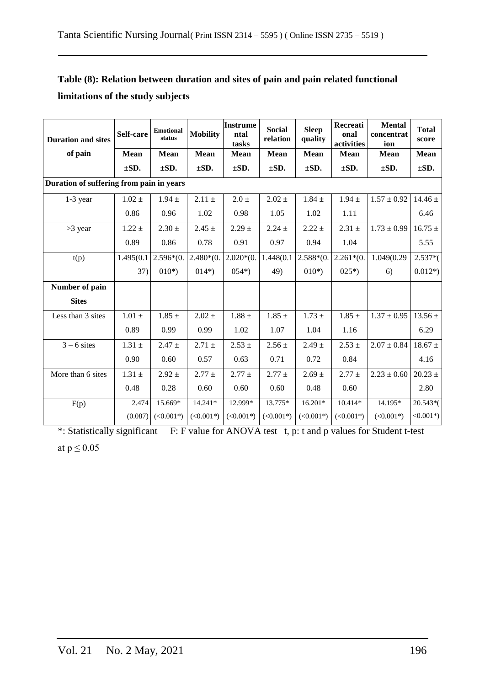| <b>Duration and sites</b>                | Self-care  | <b>Emotional</b><br>status | <b>Mobility</b> | <b>Instrume</b><br>ntal<br>tasks | <b>Social</b><br>relation | <b>Sleep</b><br>quality | Recreati<br>onal<br>activities | <b>Mental</b><br>concentrat<br>ion | <b>Total</b><br>score |  |  |  |
|------------------------------------------|------------|----------------------------|-----------------|----------------------------------|---------------------------|-------------------------|--------------------------------|------------------------------------|-----------------------|--|--|--|
| of pain                                  | Mean       | <b>Mean</b>                | <b>Mean</b>     | Mean                             | <b>Mean</b>               | <b>Mean</b>             | Mean                           | <b>Mean</b>                        | Mean                  |  |  |  |
|                                          | $\pm SD.$  | $\pm SD.$                  | $\pm SD.$       | $\pm SD.$                        | $\pm SD.$                 | $\pm SD.$               | $\pm SD.$                      | $\pm SD.$                          | $\pm SD.$             |  |  |  |
| Duration of suffering from pain in years |            |                            |                 |                                  |                           |                         |                                |                                    |                       |  |  |  |
| $1-3$ year                               | $1.02 \pm$ | $1.94 \pm$                 | $2.11 \pm$      | $2.0 \pm$                        | $2.02 \pm$                | $1.84 \pm$              | $1.94 \pm$                     | $1.57 \pm 0.92$                    | $14.46 \pm$           |  |  |  |
|                                          | 0.86       | 0.96                       | 1.02            | 0.98                             | 1.05                      | 1.02                    | 1.11                           |                                    | 6.46                  |  |  |  |
| $>3$ year                                | $1.22 \pm$ | $2.30 \pm$                 | $2.45 \pm$      | $2.29 \pm$                       | $2.24 \pm$                | $2.22 \pm$              | $2.31 \pm$                     | $1.73 \pm 0.99$                    | $16.75 \pm$           |  |  |  |
|                                          | 0.89       | 0.86                       | 0.78            | 0.91                             | 0.97                      | 0.94                    | 1.04                           |                                    | 5.55                  |  |  |  |
| t(p)                                     | 1.495(0.1  | $2.596*(0.$                | $2.480*(0.$     | $2.020*(0.$                      | 1.448(0.1)                | $2.588*(0.$             | $2.261*(0.$                    | 1.049(0.29                         | $2.537*($             |  |  |  |
|                                          | 37)        | $010*)$                    | $014*)$         | $054*)$                          | 49)                       | $010*)$                 | $025*)$                        | 6)                                 | $0.012*)$             |  |  |  |
| Number of pain                           |            |                            |                 |                                  |                           |                         |                                |                                    |                       |  |  |  |
| <b>Sites</b>                             |            |                            |                 |                                  |                           |                         |                                |                                    |                       |  |  |  |
| Less than 3 sites                        | $1.01 \pm$ | $1.85 \pm$                 | $2.02 \pm$      | $1.88 \pm$                       | $1.85 \pm$                | $1.73 \pm$              | $1.85 \pm$                     | $1.37 \pm 0.95$                    | $13.56 \pm$           |  |  |  |
|                                          | 0.89       | 0.99                       | 0.99            | 1.02                             | 1.07                      | 1.04                    | 1.16                           |                                    | 6.29                  |  |  |  |
| $3 - 6$ sites                            | $1.31 \pm$ | $2.47 \pm$                 | $2.71 \pm$      | $2.53 \pm$                       | $2.56 \pm$                | $2.49 \pm$              | $2.53 \pm$                     | $2.07 \pm 0.84$                    | $18.67 \pm$           |  |  |  |
|                                          | 0.90       | 0.60                       | 0.57            | 0.63                             | 0.71                      | 0.72                    | 0.84                           |                                    | 4.16                  |  |  |  |
| More than 6 sites                        | $1.31 \pm$ | $2.92 \pm$                 | $2.77 \pm$      | $2.77 \pm$                       | $2.77 \pm$                | $2.69 \pm$              | $2.77 \pm$                     | $2.23 \pm 0.60$                    | $20.23 \pm$           |  |  |  |
|                                          | 0.48       | 0.28                       | 0.60            | 0.60                             | 0.60                      | 0.48                    | 0.60                           |                                    | 2.80                  |  |  |  |
| F(p)                                     | 2.474      | 15.669*                    | $14.241*$       | 12.999*                          | 13.775*                   | $16.201*$               | $10.414*$                      | 14.195*                            | 20.543*(              |  |  |  |
|                                          | (0.087)    | $(<0.001*)$                | $(<0.001*)$     | $(<0.001*)$                      | $(<0.001*)$               | $(<0.001*)$             | $(<0.001*)$                    | $(<0.001*)$                        | $<0.001*$             |  |  |  |

## **Table (8): Relation between duration and sites of pain and pain related functional limitations of the study subjects**

\*: Statistically significant F: F value for ANOVA test t, p: t and p values for Student t-test at  $p \leq 0.05$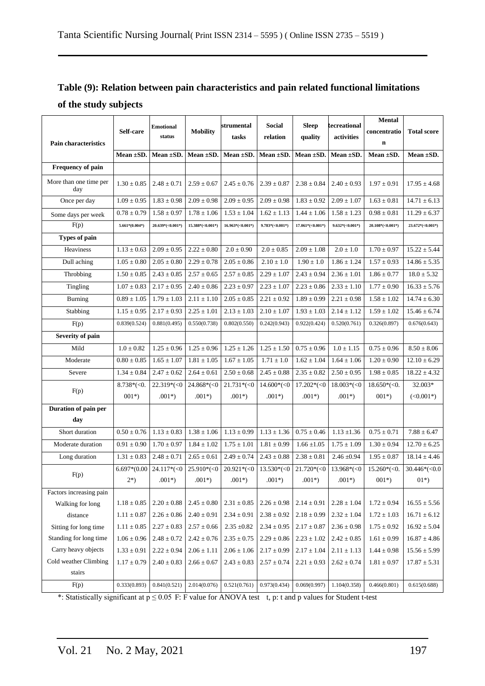## **Table (9): Relation between pain characteristics and pain related functional limitations of the study subjects**

|                               |                  |                            |                     | strumental                    | Social            | <b>Sleep</b>        | kecreational      | <b>Mental</b>      |                    |
|-------------------------------|------------------|----------------------------|---------------------|-------------------------------|-------------------|---------------------|-------------------|--------------------|--------------------|
|                               | Self-care        | <b>Emotional</b><br>status | <b>Mobility</b>     |                               |                   |                     |                   | concentratio       | <b>Total score</b> |
| <b>Pain characteristics</b>   |                  |                            |                     | tasks                         | relation          | quality             | activities        | $\bf n$            |                    |
|                               | Mean $\pm$ SD.   | Mean $\pm SD$ .            |                     | Mean $\pm$ SD. Mean $\pm$ SD. | Mean $\pm SD$ .   | Mean $\pm SD$ .     | Mean $\pm SD$ .   | Mean ±SD.          | Mean $\pm SD$ .    |
| Frequency of pain             |                  |                            |                     |                               |                   |                     |                   |                    |                    |
| More than one time per<br>day | $1.30 \pm 0.85$  | $2.48 \pm 0.71$            | $2.59 \pm 0.67$     | $2.45 \pm 0.76$               | $2.39 \pm 0.87$   | $2.38 \pm 0.84$     | $2.40 \pm 0.93$   | $1.97 \pm 0.91$    | $17.95 \pm 4.68$   |
| Once per day                  | $1.09 \pm 0.95$  | $1.83 \pm 0.98$            | $2.09 \pm 0.98$     | $2.09 \pm 0.95$               | $2.09 \pm 0.98$   | $1.83 \pm 0.92$     | $2.09 \pm 1.07$   | $1.63 \pm 0.81$    | $14.71 \pm 6.13$   |
| Some days per week            | $0.78 \pm 0.79$  | $1.58 \pm 0.97$            | $1.78 \pm 1.06$     | $1.53 \pm 1.04$               | $1.62 \pm 1.13$   | $1.44 \pm 1.06$     | $1.58 \pm 1.23$   | $0.98 \pm 0.81$    | $11.29 \pm 6.37$   |
| F(p)                          | $5.661*(0.004*)$ | $20.639^*(<0.001*)$        | $15.388^*(<0.001*)$ | $16.963*(<0.001*)$            | $9.783*(-0.001*)$ | $17.061^*(<0.001*)$ | $9.632*(-0.001*)$ | $20.108*(<0.001*)$ | $23.672*(<0.001*)$ |
| <b>Types of pain</b>          |                  |                            |                     |                               |                   |                     |                   |                    |                    |
| Heaviness                     | $1.13 \pm 0.63$  | $2.09 \pm 0.95$            | $2.22 \pm 0.80$     | $2.0 \pm 0.90$                | $2.0 \pm 0.85$    | $2.09 \pm 1.08$     | $2.0 \pm 1.0$     | $1.70 \pm 0.97$    | $15.22 \pm 5.44$   |
| Dull aching                   | $1.05 \pm 0.80$  | $2.05 \pm 0.80$            | $2.29 \pm 0.78$     | $2.05 \pm 0.86$               | $2.10 \pm 1.0$    | $1.90 \pm 1.0$      | $1.86 \pm 1.24$   | $1.57 \pm 0.93$    | $14.86 \pm 5.35$   |
| Throbbing                     | $1.50 \pm 0.85$  | $2.43 \pm 0.85$            | $2.57 \pm 0.65$     | $2.57 \pm 0.85$               | $2.29 \pm 1.07$   | $2.43 \pm 0.94$     | $2.36 \pm 1.01$   | $1.86 \pm 0.77$    | $18.0 \pm 5.32$    |
| Tingling                      | $1.07 \pm 0.83$  | $2.17 \pm 0.95$            | $2.40 \pm 0.86$     | $2.23 \pm 0.97$               | $2.23 \pm 1.07$   | $2.23 \pm 0.86$     | $2.33 \pm 1.10$   | $1.77 \pm 0.90$    | $16.33 \pm 5.76$   |
| Burning                       | $0.89 \pm 1.05$  | $1.79 \pm 1.03$            | $2.11 \pm 1.10$     | $2.05 \pm 0.85$               | $2.21 \pm 0.92$   | $1.89 \pm 0.99$     | $2.21 \pm 0.98$   | $1.58 \pm 1.02$    | $14.74 \pm 6.30$   |
| Stabbing                      | $1.15 \pm 0.95$  | $2.17 \pm 0.93$            | $2.25 \pm 1.01$     | $2.13 \pm 1.03$               | $2.10 \pm 1.07$   | $1.93 \pm 1.03$     | $2.14 \pm 1.12$   | $1.59 \pm 1.02$    | $15.46 \pm 6.74$   |
| F(p)                          | 0.839(0.524)     | 0.881(0.495)               | 0.550(0.738)        | 0.802(0.550)                  | 0.242(0.943)      | 0.922(0.424)        | 0.520(0.761)      | 0.326(0.897)       | 0.676(0.643)       |
| Severity of pain              |                  |                            |                     |                               |                   |                     |                   |                    |                    |
| Mild                          | $1.0 \pm 0.82$   | $1.25 \pm 0.96$            | $1.25 \pm 0.96$     | $1.25 \pm 1.26$               | $1.25 \pm 1.50$   | $0.75 \pm 0.96$     | $1.0 \pm 1.15$    | $0.75 \pm 0.96$    | $8.50 \pm 8.06$    |
| Moderate                      | $0.80 \pm 0.85$  | $1.65 \pm 1.07$            | $1.81 \pm 1.05$     | $1.67 \pm 1.05$               | $1.71 \pm 1.0$    | $1.62 \pm 1.04$     | $1.64\pm1.06$     | $1.20 \pm 0.90$    | $12.10 \pm 6.29$   |
| Severe                        | $1.34 \pm 0.84$  | $2.47 \pm 0.62$            | $2.64 \pm 0.61$     | $2.50 \pm 0.68$               | $2.45 \pm 0.88$   | $2.35 \pm 0.82$     | $2.50 \pm 0.95$   | $1.98 \pm 0.85$    | $18.22 \pm 4.32$   |
|                               | $8.738*(<0.$     | $22.319*(<0$               | $24.868*(<)$        | $21.731*(<0$                  | $14.600*(<)$      | $17.202*(<)0$       | $18.003*(-0)$     | $18.650*(<0.$      | 32.003*            |
| F(p)                          | $001*)$          | $.001*)$                   | $.001*)$            | $.001*)$                      | $.001*)$          | $.001*)$            | $.001*)$          | $001*)$            | $(<0.001*)$        |
| Duration of pain per          |                  |                            |                     |                               |                   |                     |                   |                    |                    |
| day                           |                  |                            |                     |                               |                   |                     |                   |                    |                    |
| Short duration                | $0.50 \pm 0.76$  | $1.13 \pm 0.83$            | $1.38\pm1.06$       | $1.13 \pm 0.99$               | $1.13\pm1.36$     | $0.75 \pm 0.46$     | $1.13 \pm 1.36$   | $0.75 \pm 0.71$    | $7.88 \pm 6.47$    |
| Moderate duration             | $0.91 \pm 0.90$  | $1.70 \pm 0.97$            | $1.84 \pm 1.02$     | $1.75 \pm 1.01$               | $1.81 \pm 0.99$   | $1.66 \pm 1.05$     | $1.75 \pm 1.09$   | $1.30 \pm 0.94$    | $12.70 \pm 6.25$   |
| Long duration                 | $1.31 \pm 0.83$  | $2.48 \pm 0.71$            | $2.65 \pm 0.61$     | $2.49 \pm 0.74$               | $2.43 \pm 0.88$   | $2.38 \pm 0.81$     | $2.46 \pm 0.94$   | $1.95 \pm 0.87$    | $18.14 \pm 4.46$   |
| F(p)                          | $6.697*(0.00)$   | $24.117*(<0$               | $25.910*(<)$        | $20.921*(<)$                  | $13.530*(<0$      | $21.720*(<)0$       | $13.968*(<0$      | $15.260*(<0.$      | $30.446*(<0.0$     |
|                               | $2^{*}$          | $.001*)$                   | $.001*)$            | $.001*)$                      | $.001*)$          | $.001*)$            | $.001*)$          | $001*)$            | $01*)$             |
| Factors increasing pain       |                  |                            |                     |                               |                   |                     |                   |                    |                    |
| Walking for long              | $1.18\pm0.85$    | $2.20\pm0.88$              | $2.45 \pm 0.80$     | $2.31\pm0.85$                 | $2.26\pm0.98$     | $2.14 \pm 0.91$     | $2.28 \pm 1.04$   | $1.72 \pm 0.94$    | $16.55 \pm 5.56$   |
| distance                      | $1.11\pm0.87$    | $2.26\pm0.86$              | $2.40 \pm 0.91$     | $2.34\pm0.91$                 | $2.38\pm0.92$     | $2.18 \pm 0.99$     | $2.32 \pm 1.04$   | $1.72 \pm 1.03$    | $16.71\pm6.12$     |
| Sitting for long time         | $1.11 \pm 0.85$  | $2.27 \pm 0.83$            | $2.57 \pm 0.66$     | $2.35\; {\pm}0.82$            | $2.34\pm0.95$     | $2.17 \pm 0.87$     | $2.36\pm0.98$     | $1.75 \pm 0.92$    | $16.92 \pm 5.04$   |
| Standing for long time        | $1.06\pm0.96$    | $2.48 \pm 0.72$            | $2.42 \pm 0.76$     | $2.35\pm0.75$                 | $2.29\pm0.86$     | $2.23\pm1.02$       | $2.42 \pm 0.85$   | $1.61\pm0.99$      | $16.87 \pm 4.86$   |
| Carry heavy objects           | $1.33\pm0.91$    | $2.22 \pm 0.94$            | $2.06 \pm 1.11$     | $2.06 \pm 1.06$               | $2.17 \pm 0.99$   | $2.17 \pm 1.04$     | $2.11\pm1.13$     | $1.44\pm0.98$      | $15.56\pm5.99$     |
| Cold weather Climbing         | $1.17\pm0.79$    | $2.40\pm0.83$              | $2.66 \pm 0.67$     | $2.43\pm0.83$                 | $2.57 \pm 0.74$   | $2.21 \pm 0.93$     | $2.62 \pm 0.74$   | $1.81 \pm 0.97$    | $17.87 \pm 5.31$   |
| stairs                        |                  |                            |                     |                               |                   |                     |                   |                    |                    |
| F(p)                          | 0.333(0.893)     | 0.841(0.521)               | 2.014(0.076)        | 0.521(0.761)                  | 0.973(0.434)      | 0.069(0.997)        | 1.104(0.358)      | 0.466(0.801)       | 0.615(0.688)       |

\*: Statistically significant at  $p \le 0.05$  F: F value for ANOVA test t, p: t and p values for Student t-test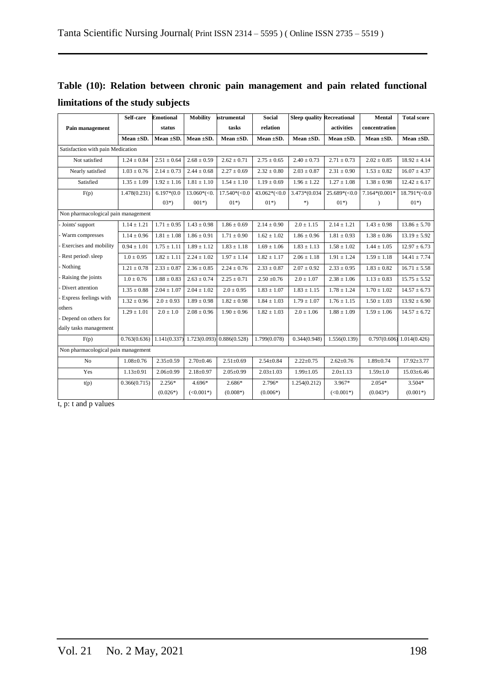|                                   |  |  | Table (10): Relation between chronic pain management and pain related functional |  |  |
|-----------------------------------|--|--|----------------------------------------------------------------------------------|--|--|
| limitations of the study subjects |  |  |                                                                                  |  |  |

|                                     | Self-care                   | <b>Emotional</b> | <b>Mobility</b> | <b>strumental</b>         | <b>Social</b>   | <b>Sleep quality Recreational</b> |                 | <b>Mental</b>    | <b>Total score</b>          |
|-------------------------------------|-----------------------------|------------------|-----------------|---------------------------|-----------------|-----------------------------------|-----------------|------------------|-----------------------------|
| Pain management                     |                             | status           |                 | tasks                     | relation        |                                   | activities      | concentration    |                             |
|                                     | Mean $\pm SD$ .             | Mean ±SD.        | Mean ±SD.       | Mean ±SD.                 | Mean $\pm SD$ . | Mean ±SD.                         | Mean $\pm SD$ . | Mean ±SD.        | Mean $\pm$ SD.              |
| Satisfaction with pain Medication   |                             |                  |                 |                           |                 |                                   |                 |                  |                             |
| Not satisfied                       | $1.24 \pm 0.84$             | $2.51 \pm 0.64$  | $2.68 \pm 0.59$ | $2.62 \pm 0.71$           | $2.75 \pm 0.65$ | $2.40 \pm 0.73$                   | $2.71 \pm 0.73$ | $2.02 \pm 0.85$  | $18.92 \pm 4.14$            |
| Nearly satisfied                    | $1.03 \pm 0.76$             | $2.14 \pm 0.73$  | $2.44 \pm 0.68$ | $2.27 \pm 0.69$           | $2.32 \pm 0.80$ | $2.03 \pm 0.87$                   | $2.31 \pm 0.90$ | $1.53 \pm 0.82$  | $16.07 \pm 4.37$            |
| Satisfied                           | $1.35\pm1.09$               | $1.92 \pm 1.16$  | $1.81 \pm 1.10$ | $1.54 \pm 1.10$           | $1.19 \pm 0.69$ | $1.96 \pm 1.22$                   | $1.27 \pm 1.08$ | $1.38 \pm 0.98$  | $12.42 \pm 6.17$            |
| F(p)                                | 1.478(0.231)                | $6.197*(0.0)$    | $13.060*(<0.$   | $17.540*(<0.0$            | $43.062*(-0.0)$ | 3.473*(0.034                      | $25.689*(<0.0$  | $7.164*(0.001*)$ | $18.791*(-0.0$              |
|                                     |                             | $03*)$           | $001*)$         | $01*)$                    | $01*)$          | $*)$                              | $01*)$          | $\mathcal{E}$    | $01*)$                      |
| Non pharmacological pain management |                             |                  |                 |                           |                 |                                   |                 |                  |                             |
| Joints' support                     | $1.14 \pm 1.21$             | $1.71 \pm 0.95$  | $1.43 \pm 0.98$ | $1.86 \pm 0.69$           | $2.14 \pm 0.90$ | $2.0 \pm 1.15$                    | $2.14 \pm 1.21$ | $1.43 \pm 0.98$  | $13.86 \pm 5.70$            |
| Warm compresses                     | $1.14 \pm 0.96$             | $1.81 \pm 1.08$  | $1.86 \pm 0.91$ | $1.71 \pm 0.90$           | $1.62 \pm 1.02$ | $1.86 \pm 0.96$                   | $1.81 \pm 0.93$ | $1.38 \pm 0.86$  | $13.19 \pm 5.92$            |
| Exercises and mobility              | $0.94 \pm 1.01$             | $1.75 \pm 1.11$  | $1.89 \pm 1.12$ | $1.83 \pm 1.18$           | $1.69 \pm 1.06$ | $1.83 \pm 1.13$                   | $1.58 \pm 1.02$ | $1.44 \pm 1.05$  | $12.97 \pm 6.73$            |
| Rest period\ sleep                  | $1.0 \pm 0.95$              | $1.82 \pm 1.11$  | $2.24 \pm 1.02$ | $1.97 \pm 1.14$           | $1.82 \pm 1.17$ | $2.06 \pm 1.18$                   | $1.91 \pm 1.24$ | $1.59 \pm 1.18$  | $14.41 \pm 7.74$            |
| Nothing                             | $1.21 \pm 0.78$             | $2.33 \pm 0.87$  | $2.36 \pm 0.85$ | $2.24 \pm 0.76$           | $2.33 \pm 0.87$ | $2.07 \pm 0.92$                   | $2.33 \pm 0.95$ | $1.83 \pm 0.82$  | $16.71 \pm 5.58$            |
| Raising the joints                  | $1.0 \pm 0.76$              | $1.88 \pm 0.83$  | $2.63 \pm 0.74$ | $2.25 \pm 0.71$           | $2.50 \pm 0.76$ | $2.0 \pm 1.07$                    | $2.38 \pm 1.06$ | $1.13 \pm 0.83$  | $15.75 \pm 5.52$            |
| Divert attention                    | $1.35 \pm 0.88$             | $2.04 \pm 1.07$  | $2.04 \pm 1.02$ | $2.0 \pm 0.95$            | $1.83 \pm 1.07$ | $1.83 \pm 1.15$                   | $1.78 \pm 1.24$ | $1.70 \pm 1.02$  | $14.57 \pm 6.73$            |
| Express feelings with               | $1.32 \pm 0.96$             | $2.0 \pm 0.93$   | $1.89 \pm 0.98$ | $1.82 \pm 0.98$           | $1.84 \pm 1.03$ | $1.79 \pm 1.07$                   | $1.76 \pm 1.15$ | $1.50 \pm 1.03$  | $13.92 \pm 6.90$            |
| others                              | $1.29 \pm 1.01$             | $2.0 \pm 1.0$    | $2.08 \pm 0.96$ | $1.90 \pm 0.96$           | $1.82 \pm 1.03$ | $2.0\pm1.06$                      | $1.88\pm1.09$   | $1.59 \pm 1.06$  | $14.57 \pm 6.72$            |
| Depend on others for                |                             |                  |                 |                           |                 |                                   |                 |                  |                             |
| daily tasks management              |                             |                  |                 |                           |                 |                                   |                 |                  |                             |
| F(p)                                | $0.763(0.636)$ 1.141(0.337) |                  |                 | 1.723(0.093) 0.886(0.528) | 1.799(0.078)    | 0.344(0.948)                      | 1.556(0.139)    |                  | $0.797(0.606)$ 1.014(0.426) |
| Non pharmacological pain management |                             |                  |                 |                           |                 |                                   |                 |                  |                             |
| N <sub>o</sub>                      | $1.08 \pm 0.76$             | $2.35 \pm 0.59$  | $2.70 \pm 0.46$ | $2.51 \pm 0.69$           | $2.54 \pm 0.84$ | $2.22 \pm 0.75$                   | $2.62 \pm 0.76$ | $1.89 \pm 0.74$  | $17.92 \pm 3.77$            |
| Yes                                 | $1.13 \pm 0.91$             | $2.06 \pm 0.99$  | $2.18 \pm 0.97$ | $2.05 \pm 0.99$           | $2.03 \pm 1.03$ | $1.99 \pm 1.05$                   | $2.0 \pm 1.13$  | $1.59 \pm 1.0$   | $15.03 \pm 6.46$            |
| t(p)                                | 0.366(0.715)                | $2.256*$         | $4.696*$        | 2.686*                    | 2.796*          | 1.254(0.212)                      | $3.967*$        | $2.054*$         | $3.504*$                    |
|                                     |                             | $(0.026*)$       | $(<0.001*)$     | $(0.008*)$                | $(0.006*)$      |                                   | $(<0.001*)$     | $(0.043*)$       | $(0.001*)$                  |

t, p: t and p values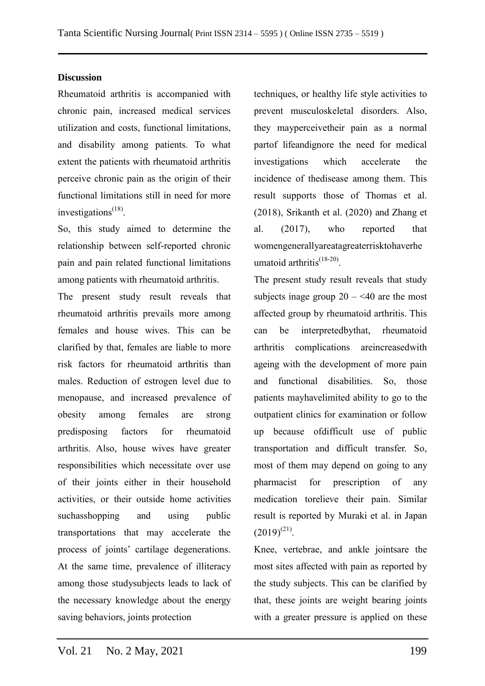### **Discussion**

Rheumatoid arthritis is accompanied with chronic pain, increased medical services utilization and costs, functional limitations, and disability among patients. To what extent the patients with rheumatoid arthritis perceive chronic pain as the origin of their functional limitations still in need for more investigations<sup>(18)</sup>.

So, this study aimed to determine the relationship between self-reported chronic pain and pain related functional limitations among patients with rheumatoid arthritis.

The present study result reveals that rheumatoid arthritis prevails more among females and house wives. This can be clarified by that, females are liable to more risk factors for rheumatoid arthritis than males. Reduction of estrogen level due to menopause, and increased prevalence of obesity among females are strong predisposing factors for rheumatoid arthritis. Also, house wives have greater responsibilities which necessitate over use of their joints either in their household activities, or their outside home activities suchasshopping and using public transportations that may accelerate the process of joints' cartilage degenerations. At the same time, prevalence of illiteracy among those studysubjects leads to lack of the necessary knowledge about the energy saving behaviors, joints protection

techniques, or healthy life style activities to prevent musculoskeletal disorders. Also, they mayperceivetheir pain as a normal partof lifeandignore the need for medical investigations which accelerate the incidence of thedisease among them. This result supports those of Thomas et al. (2018), Srikanth et al. (2020) and Zhang et al. (2017), who reported that womengenerallyareatagreaterrisktohaverhe umatoid arthritis<sup>(18-20)</sup>.

The present study result reveals that study subjects inage group  $20 - 40$  are the most affected group by rheumatoid arthritis. This can be interpretedbythat, rheumatoid arthritis complications areincreasedwith ageing with the development of more pain and functional disabilities. So, those patients mayhavelimited ability to go to the outpatient clinics for examination or follow up because ofdifficult use of public transportation and difficult transfer. So, most of them may depend on going to any pharmacist for prescription of any medication torelieve their pain. Similar result is reported by Muraki et al. in Japan  $(2019)^{(21)}$ .

Knee, vertebrae, and ankle jointsare the most sites affected with pain as reported by the study subjects. This can be clarified by that, these joints are weight bearing joints with a greater pressure is applied on these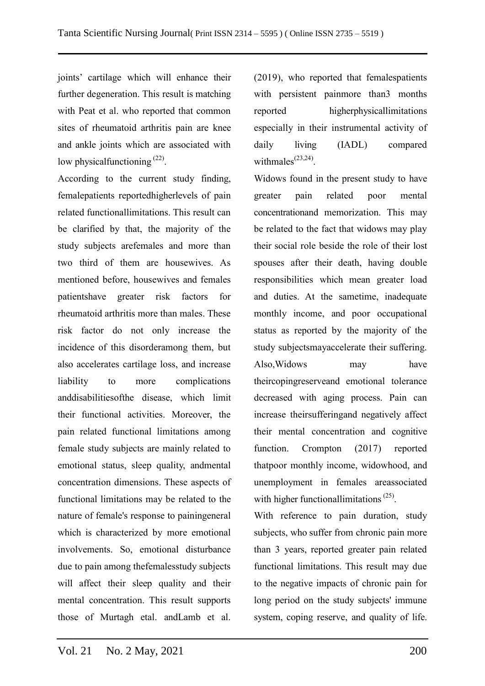joints' cartilage which will enhance their further degeneration. This result is matching with Peat et al. who reported that common sites of rheumatoid arthritis pain are knee and ankle joints which are associated with low physicalfunctioning <sup>(22)</sup>.

According to the current study finding, femalepatients reportedhigherlevels of pain related functionallimitations. This result can be clarified by that, the majority of the study subjects arefemales and more than two third of them are housewives. As mentioned before, housewives and females patientshave greater risk factors for rheumatoid arthritis more than males. These risk factor do not only increase the incidence of this disorderamong them, but also accelerates cartilage loss, and increase liability to more complications anddisabilitiesofthe disease, which limit their functional activities. Moreover, the pain related functional limitations among female study subjects are mainly related to emotional status, sleep quality, andmental concentration dimensions. These aspects of functional limitations may be related to the nature of female's response to painingeneral which is characterized by more emotional involvements. So, emotional disturbance due to pain among thefemalesstudy subjects will affect their sleep quality and their mental concentration. This result supports those of Murtagh etal. andLamb et al.

(2019), who reported that femalespatients with persistent painmore than3 months reported higherphysicallimitations especially in their instrumental activity of daily living (IADL) compared withmales $^{(23,24)}$ .

Widows found in the present study to have greater pain related poor mental concentrationand memorization. This may be related to the fact that widows may play their social role beside the role of their lost spouses after their death, having double responsibilities which mean greater load and duties. At the sametime, inadequate monthly income, and poor occupational status as reported by the majority of the study subjectsmayaccelerate their suffering. Also,Widows may have theircopingreserveand emotional tolerance decreased with aging process. Pain can increase theirsufferingand negatively affect their mental concentration and cognitive function. Crompton (2017) reported thatpoor monthly income, widowhood, and unemployment in females areassociated with higher functionallimitations<sup>(25)</sup>.

With reference to pain duration, study subjects, who suffer from chronic pain more than 3 years, reported greater pain related functional limitations. This result may due to the negative impacts of chronic pain for long period on the study subjects' immune system, coping reserve, and quality of life.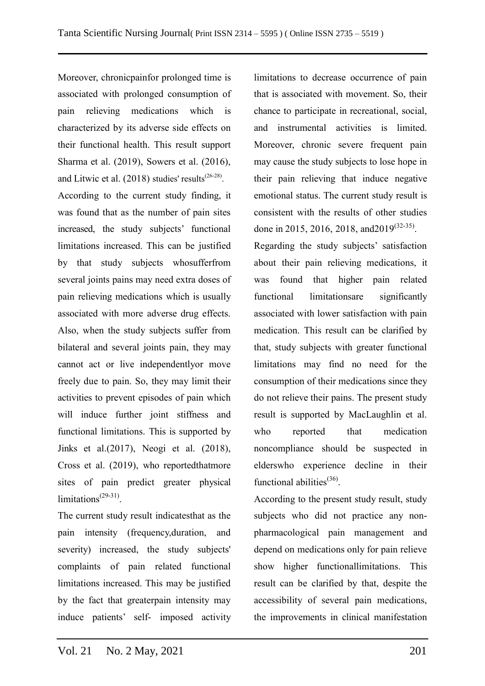Moreover, chronicpainfor prolonged time is associated with prolonged consumption of pain relieving medications which is characterized by its adverse side effects on their functional health. This result support Sharma et al. (2019), Sowers et al. (2016), and Litwic et al.  $(2018)$  studies' results<sup> $(26-28)$ </sup>.

According to the current study finding, it was found that as the number of pain sites increased, the study subjects' functional limitations increased. This can be justified by that study subjects whosufferfrom several joints pains may need extra doses of pain relieving medications which is usually associated with more adverse drug effects. Also, when the study subjects suffer from bilateral and several joints pain, they may cannot act or live independentlyor move freely due to pain. So, they may limit their activities to prevent episodes of pain which will induce further joint stiffness and functional limitations. This is supported by Jinks et al.(2017), Neogi et al. (2018), Cross et al. (2019), who reportedthatmore sites of pain predict greater physical limitations<sup>(29-31)</sup>.

The current study result indicatesthat as the pain intensity (frequency,duration, and severity) increased, the study subjects' complaints of pain related functional limitations increased. This may be justified by the fact that greaterpain intensity may induce patients' self- imposed activity limitations to decrease occurrence of pain that is associated with movement. So, their chance to participate in recreational, social, and instrumental activities is limited. Moreover, chronic severe frequent pain may cause the study subjects to lose hope in their pain relieving that induce negative emotional status. The current study result is consistent with the results of other studies done in 2015, 2016, 2018, and 2019<sup>(32-35)</sup>.

Regarding the study subjects' satisfaction about their pain relieving medications, it was found that higher pain related functional limitationsare significantly associated with lower satisfaction with pain medication. This result can be clarified by that, study subjects with greater functional limitations may find no need for the consumption of their medications since they do not relieve their pains. The present study result is supported by MacLaughlin et al. who reported that medication noncompliance should be suspected in elderswho experience decline in their functional abilities<sup>(36)</sup>.

According to the present study result, study subjects who did not practice any nonpharmacological pain management and depend on medications only for pain relieve show higher functionallimitations. This result can be clarified by that, despite the accessibility of several pain medications, the improvements in clinical manifestation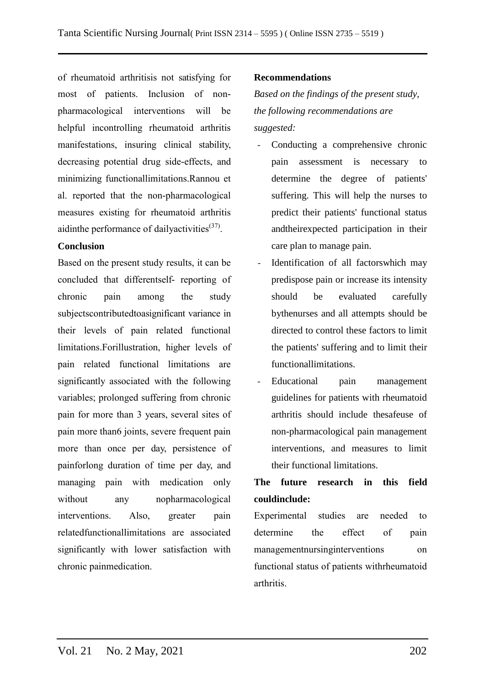of rheumatoid arthritisis not satisfying for most of patients. Inclusion of nonpharmacological interventions will be helpful incontrolling rheumatoid arthritis manifestations, insuring clinical stability, decreasing potential drug side-effects, and minimizing functionallimitations.Rannou et al. reported that the non-pharmacological measures existing for rheumatoid arthritis aidinthe performance of dailyactivities<sup>(37)</sup>.

## **Conclusion**

Based on the present study results, it can be concluded that differentself- reporting of chronic pain among the study subjectscontributedtoasignificant variance in their levels of pain related functional limitations.Forillustration, higher levels of pain related functional limitations are significantly associated with the following variables; prolonged suffering from chronic pain for more than 3 years, several sites of pain more than6 joints, severe frequent pain more than once per day, persistence of painforlong duration of time per day, and managing pain with medication only without any nopharmacological interventions. Also, greater pain relatedfunctionallimitations are associated significantly with lower satisfaction with chronic painmedication.

### **Recommendations**

*Based on the findings of the present study, the following recommendations are suggested:*

- Conducting a comprehensive chronic pain assessment is necessary to determine the degree of patients' suffering. This will help the nurses to predict their patients' functional status andtheirexpected participation in their care plan to manage pain.
- Identification of all factorswhich may predispose pain or increase its intensity should be evaluated carefully bythenurses and all attempts should be directed to control these factors to limit the patients' suffering and to limit their functionallimitations.
- Educational pain management guidelines for patients with rheumatoid arthritis should include thesafeuse of non-pharmacological pain management interventions, and measures to limit their functional limitations.

## **The future research in this field couldinclude:**

Experimental studies are needed to determine the effect of pain managementnursinginterventions on functional status of patients withrheumatoid arthritis.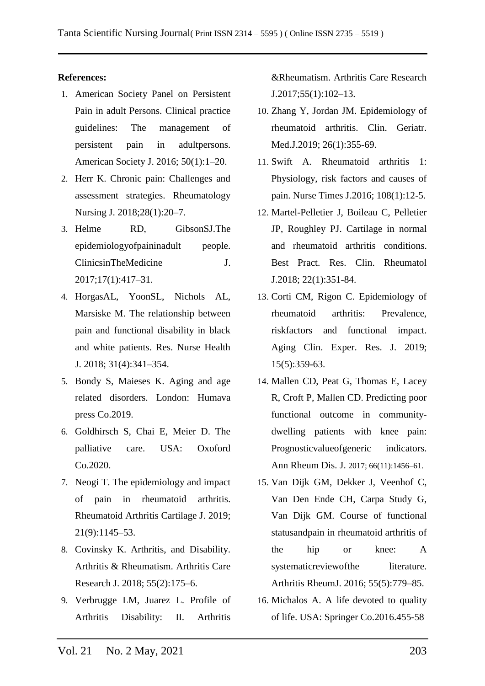### **References:**

- 1. American Society Panel on Persistent Pain in adult Persons. Clinical practice guidelines: The management of persistent pain in adultpersons. American Society J. 2016; 50(1):1–20.
- 2. Herr K. Chronic pain: Challenges and assessment strategies. Rheumatology Nursing J. 2018;28(1):20–7.
- 3. Helme RD, GibsonSJ.The epidemiologyofpaininadult people. ClinicsinTheMedicine J. 2017;17(1):417–31.
- 4. HorgasAL, YoonSL, Nichols AL, Marsiske M. The relationship between pain and functional disability in black and white patients. Res. Nurse Health J. 2018; 31(4):341–354.
- 5. Bondy S, Maieses K. Aging and age related disorders. London: Humava press Co.2019.
- 6. Goldhirsch S, Chai E, Meier D. The palliative care. USA: Oxoford Co.2020.
- 7. Neogi T. The epidemiology and impact of pain in rheumatoid arthritis. Rheumatoid Arthritis Cartilage J. 2019; 21(9):1145–53.
- 8. Covinsky K. Arthritis, and Disability. Arthritis & Rheumatism. Arthritis Care Research J. 2018; 55(2):175–6.
- 9. Verbrugge LM, Juarez L. Profile of Arthritis Disability: II. Arthritis

&Rheumatism. Arthritis Care Research J.2017;55(1):102–13.

- 10. Zhang Y, Jordan JM. Epidemiology of rheumatoid arthritis. Clin. Geriatr. Med.J.2019; 26(1):355-69.
- 11. Swift A. Rheumatoid arthritis 1: Physiology, risk factors and causes of pain. Nurse Times J.2016; 108(1):12-5.
- 12. Martel-Pelletier J, Boileau C, Pelletier JP, Roughley PJ. Cartilage in normal and rheumatoid arthritis conditions. Best Pract. Res. Clin. Rheumatol J.2018; 22(1):351-84.
- 13. Corti CM, Rigon C. Epidemiology of rheumatoid arthritis: Prevalence, riskfactors and functional impact. Aging Clin. Exper. Res. J. 2019; 15(5):359-63.
- 14. Mallen CD, Peat G, Thomas E, Lacey R, Croft P, Mallen CD. Predicting poor functional outcome in communitydwelling patients with knee pain: Prognosticvalueofgeneric indicators. Ann Rheum Dis. J. 2017; 66(11):1456–61.
- 15. Van Dijk GM, Dekker J, Veenhof C, Van Den Ende CH, Carpa Study G, Van Dijk GM. Course of functional statusandpain in rheumatoid arthritis of the hip or knee: A systematicreviewofthe literature. Arthritis RheumJ. 2016; 55(5):779–85.
- 16. Michalos A. A life devoted to quality of life. USA: Springer Co.2016.455-58